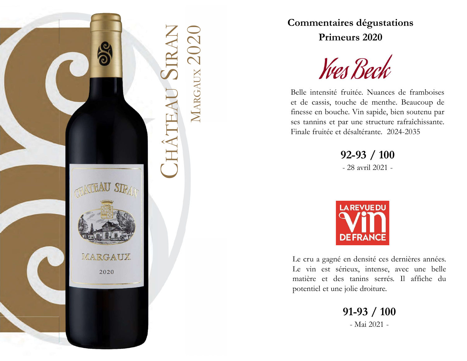

Commentaires dégustations<br>
Primeurs 2020<br>
MARGAUX<br>
Belle intensité fruitée. Nuances de framboises<br>
et de cassis, touche de menthe. Beaucoup de<br>
finesse en bouche. Vin sapide, bien soutenu par Commentaires dégustations<br>
Primeurs 2020<br>
West Deck<br>
Belle intensité fruitée. Nuances de framboises<br>
et de cassis, touche de menthe. Beaucoup de<br>
finesse en bouche. Vin sapide, bien soutenu par<br>
ses tannins et par une stru Commentaires dégustations<br>
Primeurs 2020<br>
Ves Deck<br>
Belle intensité fruitée. Nuances de framboises<br>
et de cassis, touche de menthe. Beaucoup de<br>
finesse en bouche. Vin sapide, bien soutenu par<br>
ses tannins et par une struc Frimeurs 2020<br>
Frimeurs 2020<br>
Frimeurs 2020<br>
Selle intensité fruitée. Nuances de framboises<br>
et de cassis, touche de menthe. Beaucoup de<br>
finesse en bouche. Vin sapide, bien soutenu par<br>
ses tannins et par une structure ra Commentaires dégustations<br>
Primeurs 2020<br>
West Deck<br>
Belle intensité fruitée. Nuances de framboises<br>
et de cassis, touche de menthe. Beaucoup de<br>
finesse en bouche. Vin sapide, bien soutenu par<br>
ses tannins et par une stru Commentaires dégustations<br>
Primeurs 2020<br>
West Deck<br>
Belle intensité fruitée. Nuances de framboises<br>
et de cassis, touche de menthe. Beaucoup de<br>
finesse en bouche. Vin sapide, bien soutenu par<br>
ses tannins et par une stru - 28 avril 2021 -

92-93 / 100



Exercise de la batter. This applier, sien societar par<br>
les tamins et par une structure rafraîchissante.<br>
Tinale fruitée et désaltérante. 2024-2035<br>
92-93 / 100<br>
- 28 avril 2021 -<br>
Le cru a gagné en densité ces dernières a Etimale fruitée et désaltérante. 2024-2035<br>
92-93 / 100<br>
- 28 avril 2021 -<br>
LAREVUEDU<br>
DEFRANCE<br>
Le cru a gagné en densité ces dernières années.<br>
Le vin est sérieux, intense, avec une belle<br>
matière et des tanins serrés. I 92-93 / 100<br>
- 28 avril 2021 -<br>
- 28 avril 2021 -<br> **LAREVUEDU<br>
DEFRANCE**<br>
Le cru a gagné en densité ces dernières années.<br>
Le vin est sérieux, intense, avec une belle<br>
matière et des tanins serrés. Il affiche du<br>
potentie 92-93 / 100<br>
- 28 avril 2021 -<br>
- 28 avril 2021 -<br>
LAREVUEDU<br>
DEFRANCE<br>
Le cru a gagné en densité ces dernières années.<br>
Le vin est sérieux, intense, avec une belle<br>
matière et des tanins serrés. Il affiche du<br>
potentiel REVUEDU<br>
FRANCE<br>
densité ces dernières années.<br>
ux, intense, avec une belle<br>
tanins serrés. Il affiche du<br>
lie droiture.<br>
1-93 / 100<br>
- Mai 2021 -

91-93 / 100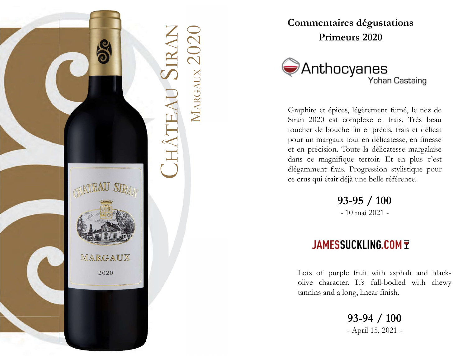



Commentaires dégustations<br>
Primeurs 2020<br>
CHÂTEAU SIRAN MARGAUX VONan Castaing<br>
CHÂTEAU SIRAN MARGAUX VONAN Castaing<br>
Craphite et épices, légèrement fumé, le nez de<br>
Siran 2020<br>
Craphite et épices, légèrement fumé, le nez Commentaires dégustations<br>
Primeurs 2020<br>
PANTHOCYANES<br>
Yohan Castaing<br>
Graphite et épices, légèrement fumé, le nez de<br>
Siran 2020 est complexe et frais. Très beau<br>
toucher de bouche fin et précis, frais et délicat<br>
pour u **Commentaires dégustations<br>
Primeurs 2020**<br> **Siran 2020 est complexe et frais.** Très beau<br>
Siran 2020 est complexe et frais. Très beau<br>
toucher de bouche fin et précis, frais et délicat<br>
pour un margaux tout en délicatesse **Commentaires dégustations<br>
Primeurs 2020**<br> **Conces de boucher de foices, légèrement fumé, le nez de<br>
Siran 2020 est complexe et frais. Très beau<br>
toucher de bouche fin et précis, frais et délicat<br>
pour un margaux tout en Commentaires dégustations<br>
Primeurs 2020**<br> **Anthocyanes**<br>
Yohan Castaing<br>
Graphite et épices, légèrement fumé, le nez de<br>
Siran 2020 est complexe et frais. Très beau<br>
toucher de bouche fin et précis, frais et délicate<br>
po **Commentaires dégustations<br>
Primeurs 2020**<br> **Comment Continues**<br> **Comment Comment Comment Comment**<br>
Siran 2020 est complexe et frais. Très beau<br>
toucher de bouche fin et précis, frais et délicat<br>
pour un margaux tout en dé **Commentaires dégustations<br>
Primeurs 2020**<br> **Anthocyanes**<br>
Yohan Castaing<br>
Graphite et épices, légèrement fumé, le nez de<br>
Siran 2020 est complexe et frais. Très beau<br>
toucher de bouche fin et précis, frais et délicat<br>
pou **Example 18 Server Schemment Schemment Schemment Schemment Schemment Schemment Schemment Schemment Schemment Schemment Schemment (Server and the pour text of the pour delicate pour ce crus qui était déjà une belle référenc CONTRES SERVIS DES SERVIS DE SERVIS DE SERVIS DE SERVIS DE SERVIS DE SERVIS DE SERVIS DE SERVIS DE SERVIS DE SERVIS DE SERVIS DE SERVIS DE SERVIS DE SERVIS DE SERVIS DE SERVIS DE SERVIS DE SERVIS DE SERVIS DE SERVIS DE SE CYETTES**<br>
Yohan Castaing<br>
es, légèrement fumé, le nez de<br>
complexe et frais. Très beau<br>
the fin et précis, frais et délicat<br>
x tout en délicatesse, en finesse<br>
Toute la délicatesse margalaise<br>
ique terroir. Et en plus c'e cher de bouche fin et précis, frais et délicatur un margaux tout en délicatesse, en finesse<br>
en précision. Toute la délicatesse margalaise<br>
se en agnifique terroir. Et en plus c'est<br>
gamment frais. Progression stylistique olive the difference of the difference of the precision. Toute la délicatesse margalaise<br>is ce magnifique terroir. Et en plus c'est<br>gamment frais. Progression stylistique pour<br>crus qui était déjà une belle référence.<br>**93-9** en précision. Toute la délicatesse margalaise<br>s ce magnifique terroir. Et en plus c'est<br>gamment frais. Progression stylistique pour<br>crus qui était déjà une belle référence.<br>**93-95 / 100**<br>- 10 mai 2021 -<br>**JAMESSUCKLING.COM** 

93-95 / 100

3-95 / 100<br>
10 mai 2021 -<br> **JCKLING.COM T**<br>
2 fruit with asphalt and black-<br>
1. It's full-bodied with chewy<br>
193-94 / 100<br>
- April 15, 2021 -

93-94 / 100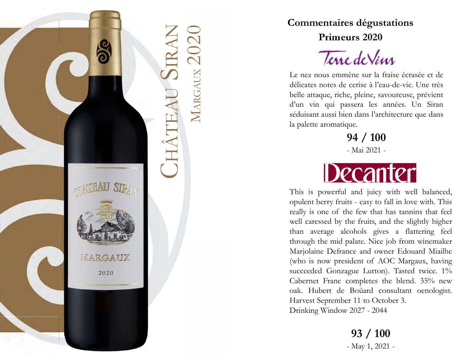

Commentaires dégustations<br>
Primeurs 2020<br>
CHÂTEAU SIRAN MARGAUX Le nez nous emmène sur la fraise écrasée et de<br>
délicates notes de cerise à l'eau-de-vie. Une très<br>
belle attaque, riche, pleine, savoureuse, prévient<br>
d'un v Commentaires dégustations<br>
Primeurs 2020<br>
Le nez nous emmène sur la fraise écrasée et de<br>
délicates notes de cerise à l'eau-de-vie. Une très<br>
belle attaque, riche, pleine, savoureuse, prévient<br>
d'un vin qui passera les ann Commentaires dégustations<br>
Primeurs 2020<br>
Jevie de Viivi<br>
Le nez nous emmène sur la fraise écrasée et de<br>
délicates notes de cerise à l'eau-de-vie. Une très<br>
belle attaque, riche, pleine, savoureuse, prévient<br>
d'un vin qui **Commentaires dégustations<br>
Primeurs 2020<br>
Terre de Vim<br>
Le nez nous emmène sur la fraise écrasée et de<br>
délicates notes de cerise à l'eau-de-vie. Une très<br>
belle attaque, riche, pleine, savoureuse, prévient<br>
d'un vin qui** Commentaires dégustations<br>
Primeurs 2020<br>
Terne de Vim<br>
Le nez nous emmène sur la fraise écrasée et de<br>
délicates notes de cerise à l'eau-de-vie. Une très<br>
belle attaque, riche, pleine, savoureuse, prévient<br>
d'un vin qui p Commentaires dégustations<br>
Primeurs 2020<br>
Terne de Vim<br>
Le nez nous emmène sur la fraise écrasée et de<br>
délicates notes de cerise à l'eau-de-vie. Une très<br>
belle attaque, riche, pleine, savoureuse, prévient<br>
d'un vin qui p Commentaires dégustations<br>
Primeurs 2020<br>
Terre de Viur<br>
Le nez nous emmène sur la fraise écrasée et de<br>
délicates notes de cerise à l'eau-de-vie. Une très<br>
belle attaque, riche, pleine, savoureuse, prévient<br>
d'un vin qui es dégustations<br>
urs 2020<br>
2 de Vim<br>
ene sur la fraise écrasée et de<br>
cerise à l'eau-de-vie. Une très<br>
e, pleine, savoureuse, prévient<br>
ssera les années. Un Siran<br>
en dans l'architecture que dans<br>
que.<br>
94 / 100<br>
- Mai 202 Training the matrix of the first state of delicates notes de cerise à l'eau-de-vie. Une très<br>belle attaque, riche, pleine, savoureuse, prévient<br>d'un vin qui passera les années. Un Siran<br>séduisant aussi bien dans l'architec

94 / 100



**EXECTS ANTERNAME CONTROVER CONTROVER CONTROLL AND ALL INTERNAMENT AND RELEASE (SEE A PROFINED A PROFINED A PROFINED A PROPERTION AND SERVED THIS IS powerful and juicy with well balanced, opulent berry fruits - easy to fal** Le nez nous emmène sur la fraise écrasée et de<br>délicates notes de cerise à l'eau-de-vie. Une très<br>belle attaque, riche, pleine, savoureuse, prévient<br>d'un vin qui passera les années. Un Siran<br>séduisant aussi bien dans l'arc Example of the free is a familie of the deflicates notes de cerise à l'eau-de-vie. Une très<br>belle attaque, riche, pleine, savoureuse, prévient<br>d'un vin qui passera les années. Un Siran<br>séduisant aussi bien dans l'architect deneates notes at ethst a flattering. The ties<br>belle attaque, riche, pleine, savoureuse, prévient<br>d'un vin qui passera les années. Un Siran<br>séduisant aussi bien dans l'architecture que dans<br>la palette aromatique.<br>**94 / 100** bene attaque, riche, pieme, savourcuse, previent<br>d'un vin qui passera les années. Un Siran<br>séduisant aussi bien dans l'architecture que dans<br>la palette aromatique.<br>**94 / 100**<br>- Mai 2021 -<br>Mai 2021 -<br>This is powerful and ju Examples and the state of the Boundary seduisant aussi bien dans l'architecture que dans<br>
la palette arcomatique.<br>
94 / 100<br>
- Mai 2021 -<br>
This is powerful and juicy with well balanced,<br>
opulent berry fruits - easy to fall (a) a) and the main set of an and the main set of an absolute a state and the main set of an absolute the main set of AOC Margaux, having the mind palate. Nice job from winemaker Marjolaine Defrance and owner Edouard Miail **94 / 100**<br>- Mai 2021 -<br>- Mai 2021 -<br>- Mai 2021 -<br>This is powerful and juicy with well balanced,<br>opulent berry fruits - easy to fall in love with. This<br>really is one of the few that has tannins that feel<br>well caressed by **100**<br>- Mai 2021 -<br>- Mai 2021 -<br>- Mai 2021 -<br>This is powerful and juicy with well balanced,<br>opulent berry fruits - easy to fall in love with. This<br>really is one of the few that has tamins that feel<br>well caressed by the fr - Mai 2021 -<br>
Hai 2021 -<br>
This is powerful and juicy with well balanced,<br>
opulent berry fruits - easy to fall in love with. This<br>
really is one of the few that has tannins that feel<br>
well caressed by the fruits, and the sl Harvest September 11 to October 3. **Example 12**<br>
This is powerful and juicy with well balanced,<br>
opulent berry fruits - easy to fall in love with. This<br>
really is one of the few that has tannins that feel<br>
well caressed by the fruits, and the slightly highe ts - easy to tall in love with. This<br>ne few that has tannins that feel<br>the fruits, and the slightly higher<br>cohols gives a flattering feel<br>palate. Nice job from winemaker<br>nce and owner Edouard Miailhe<br>ident of AOC Margaux,

93 / 100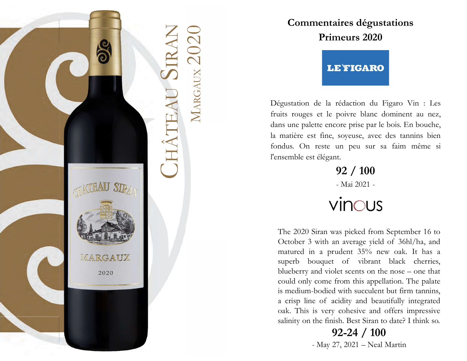



Commentaires dégustations<br>
Primeurs 2020<br>
CHÂNE<br>
CHÂTEARO<br>
CHÂTEARO<br>
CHÂTEARO<br>
CHÂTEARO<br>
CHÂTEARO<br>
CHÂTEARO<br>
CHÂTEARO<br>
CHÂTEARO<br>
CHÂTEARO<br>
CHÂTEARO<br>
CHÂTEARO<br>
CHÂTEARO<br>
CHÂTEARO<br>
CHÂTEARO<br>
CHÂTEARO<br>
CHÂTEARO<br>
CHÂTEARO<br>
CHÂ égustation de la rédaction du Figaro Vin : Les<br>nits rouges et le poivre blanc dominent au nez,<br>ns une palette encore prise par le bois. En bouche,<br>matière est fine, soyeuse, avec des tannins bien<br>ndus. On reste un peu sur égustation de la rédaction du Figaro Vin : Les<br>nits rouges et le poivre blanc dominent au nez,<br>ns une palette encore prise par le bois. En bouche,<br>matière est fine, soyeuse, avec des tannins bien<br>ndus. On reste un peu sur **Commentaires dégustations<br>
Primeurs 2020<br>
LE FIGARO<br>
Dégustation de la rédaction du Figaro Vin : Les<br>
fruits rouges et le poivre blanc dominent au nez,<br>
dans une palette encore prise par le bois. En bouche,<br>
la matière es Commentaires dégustations<br>
Primeurs 2020<br>
LETIGARO<br>
Dégustation de la rédaction du Figaro Vin : Les<br>
fruits rouges et le poivre blanc dominent au nez,<br>
dans une palette encore prise par le bois. En bouche,<br>
la matière est Commentaires dégustations<br>
Primeurs 2020<br>
LE FIGARO<br>
Dégustation de la rédaction du Figaro Vin : Les<br>
fruits rouges et le poivre blanc dominent au nez,<br>
dans une palette encore prise par le bois. En bouche,<br>
la matière es Commentaires dégustations<br>
Primeurs 2020<br>
LE FIGARO**<br>
Dégustation de la rédaction du Figaro Vin : Les<br>
fruits rouges et le poivre blanc dominent au nez,<br>
dans une palette encore prise par le bois. En bouche,<br>
la matière e **Commentaires dégustations<br>
Primeurs 2020<br>
LE FIGARO<br>
Dégustation de la rédaction du Figaro Vin : Les<br>
fruits rouges et le poivre blanc dominent au nez,<br>
dans une palette encore prise par le bois. En bouche,<br>
la matière es** Commentaires dégustations<br>
Primeurs 2020<br>
LE FIGARO<br>
Dégustation de la rédaction du Figaro Vin : Les<br>
fruits rouges et le poivre blanc dominent au nez,<br>
dans une palette encore prise par le bois. En bouche,<br>
la matière est E FIGARO<br>
rédaction du Figaro Vin : Les<br>
poivre blanc dominent au nez,<br>
ore prise par le bois. En bouche,<br>
soyeuse, avec des tannins bien<br>
un peu sur sa faim même si<br>
t.<br>
92 / 100<br>
- Mai 2021 -<br>
'INOUS

92 / 100

First point of the point of the number of the point of the smaller state in a property of the smaller est fine, soycuse, avec des tannins bien medus. On reste un peu sur sa faim même si neemble est élégant.<br>
92 / 100<br>
- M sum Fouges et a points same dominant data that,<br>
matière est fine, soyeuse, avec des tannins bien<br>
mature est fine, soyeuse, avec des tannins bien<br>
mature of the view of the vibrant  $92 / 100$ <br>
- Mai 2021 -<br>  $\sqrt{17}$  MUS<br> blue berry and violet scents of the nose in the nose of the nose matter est fine, soycuse, avec des tannins bien<br>not thus been been the nose of the nose of the nose of the nose of the nose of the nose – one that and matte mate est me, soyetse, avec des tamms bien<br>ndus. On reste un peu sur sa faim même si<br>nsemble est élégant.<br>**92 / 100**<br>- Mai 2021 -<br>**VINCUS**<br>The 2020 Siran was picked from September 16 to<br>October 3 with an average yield of 36 matus. On reste un peu sur sa raim meme si<br>
nsemble est élégant.<br>  $92 / 100$ <br>  $-Mai 2021$ <br>  $-Mai 2021$ <br>
The 2020 Siran was picked from September 16 to<br>
October 3 with an average yield of 36hl/ha, and<br>
matured in a prudent 35% matrix external of acidity and beautifully integrated and the crisp of acidity and matured in a prudent 35% new oak. It has a superb bouquet of vibrant black cherries, blueberry and violet scents on the nose – one that co 92 / 100<br>- Mai 2021 -<br>- Mai 2021 -<br>- VINCUS<br>The 2020 Siran was picked from September 16 to<br>October 3 with an average yield of 36hl/ha, and<br>matured in a prudent 35% new oak. It has a<br>superb bouquet of vibrant black cherrie - Mai 2021 -<br>VINCUS<br>The 2020 Siran was picked from September 16 to<br>October 3 with an average yield of 36hl/ha, and<br>matured in a prudent 35% new oak. It has a<br>superb bouquet of vibrant black cherries,<br>blueberry and violet VINCUS<br>
Siran was picked from September 16 to<br>
with an average yield of 36hl/ha, and<br>
n a prudent 35% new oak. It has a<br>
ouquet of vibrant black cherries,<br>
and violet scents on the nose – one that<br>
come from this appellat

92-24 / 100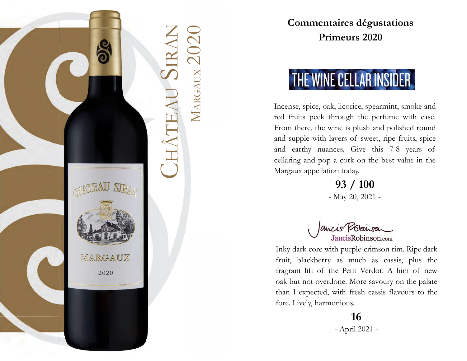

Commentaires dégustations<br>
Primeurs 2020<br>
CHÂTEAU SIRAN MARGAUX 1<br>
CHÂTEAU SIRAN MARGAUX 1<br>
Incense, spice, oak, licorice, spearmint, smoke and<br>
red fruits peek through the perfume with ease.<br>
From there, the wine is plush **Commentaires dégustations<br>
Primeurs 2020<br>
IME WINE CELLAR INSIDER<br>
Incense, spice, oak, licorice, spearmint, smoke and<br>
red fruits peek through the perfume with ease.<br>
From there, the wine is plush and polished round<br>
and Commentaires dégustations<br>
Primeurs 2020<br>
THE WINE CELLAR INSIDER<br>
Incense, spice, oak, licorice, spearmint, smoke and<br>
red fruits peek through the perfume with ease.<br>
From there, the wine is plush and polished round<br>
and Commentaires dégustations<br>
Primeurs 2020<br>
THE WINE CELLAR INSIDER<br>
Incense, spice, oak, licorice, spearmint, smoke and<br>
red fruits peek through the perfume with ease.<br>
From there, the wine is plush and polished round<br>
and Commentaires dégustations<br>
Primeurs 2020<br>
THE WINE CELLAR INSIDER**<br>
Incense, spice, oak, licorice, spearmint, smoke and<br>
red fruits peek through the perfume with ease.<br>
From there, the wine is plush and polished round<br>
an **Commentaires dégustations<br>
Primeurs 2020**<br> **THE WINE CELLAR INSIDER**<br>
Incense, spice, oak, licorice, spearmint, smoke and<br>
red fruits peek through the perfume with ease.<br>
From there, the wine is plush and polished round<br> **Commentaires dégustations<br>
Primeurs 2020**<br>
THE WINE CELLAR INSIDER<br>
Incense, spice, oak, licorice, spearmint, smoke and<br>
red fruits peek through the perfume with ease.<br>
From there, the wine is plush and polished round<br>
an **Primeurs 2020**<br>**Primeurs 2020**<br>**MARIFY ANDISTER**<br>Incense, spice, oak, licorice, spearmint, smoke and<br>red fruits peek through the perfume with case.<br>From there, the wine is plush and polished round<br>and supple with layers o **ECHLAR INSIDER**<br>
In the perfume with ease.<br>
wine is plush and polished round<br>
layers of sweet, ripe fruits, spice<br>
nces. Give this 7-8 years of<br>
is a cork on the best value in the<br>
ion today.<br> **93 / 100**<br>
- May 20, 2021 -Incense, spice, oak, licorice, spearmint, smoke and<br>
red fruits peek through the perfume with ease.<br>
From there, the wine is plush and polished round<br>
and supple with layers of sweet, ripe fruits, spice<br>
and earthy nuances

93 / 100

red fruits peek through the perfume with case.<br>From there, the wine is plush and polished round<br>and supple with layers of sweet, ripe fruits, spice<br>not earthy nuances. Give this 7-8 years of<br>cellaring and pop a cork on the From there, the wine is plush and polished round<br>
and supple with layers of sweet, ripe fruits, spice<br>
and earthy nuances. Give this 7-8 years of<br>
cellaring and pop a cork on the best value in the<br>
Margaux appellation tod and supple with layers of sweet, ripe fruits, spice<br>
and earthy nuances. Give this 7-8 years of<br>
cellaring and pop a cork on the best value in the<br>
Margaux appellation today.<br> **93 / 100**<br>
- May 20, 2021 -<br> **And 20, 2021**<br> than I expected, with fresh cases flavours and pop a cork on the best value in the Margaux appellation today.<br>
93 / 100<br>
- May 20, 2021 -<br>
- May 20, 2021 -<br>
- May 20, 2021 -<br>
Jancis Robinson.com<br>
Inky dark core with purple Forellaring and pop a cork on the best value in the<br>Margaux appellation today.<br>
93 / 100<br>
- May 20, 2021 -<br>
- May 20, 2021 -<br>
Jancis Robinson.com<br>
Inky dark core with purple-crimson rim. Ripe dark<br>
fruit, blackberry as muc 100<br>May 20, 2021 -<br>
April 2021 -<br>
April 2021 -<br>
April 2021 -<br>
April 2021 -<br>
April 2021 -<br>
April 2021 -<br>
April 2021 -

### 16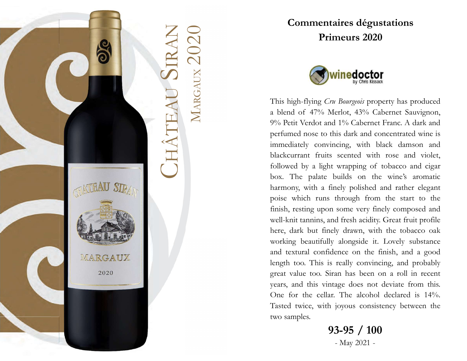



Commentaires dégustations<br>
Primeurs 2020<br>
CHÂTEAU SIRAN MARGAUX PRIMER (POSTAGE PRIMER)<br>
CHÂTEAU SIRAN MARGAUX PRIMER (POSTAGE PRIMER)<br>
This high-flying Cru Bourgeois property has produced<br>
a blend of 47% Merlot, 43% Caber **Commentaires dégustations<br>
Primeurs 2020<br>
Winedoctor<br>
This high-flying Cru Bourgeois property has produced<br>
a blend of 47% Merlot, 43% Cabernet Sauvignon,<br>
9% Petit Verdot and 1% Cabernet Franc. A dark and<br>
perfumed nose Commentaires dégustations<br>
Primeurs 2020<br>
Winedoctor**<br>
This high-flying *Cru Bourgeois* property has produced<br>
a blend of 47% Merlot, 43% Cabernet Sauvignon,<br>
9% Petit Verdot and 1% Cabernet Franc. A dark and<br>
perfumed no **Commentaires dégustations<br>
Primeurs 2020**<br>
Winedoctor<br>
This high-flying *Cru Bourgeois* property has produced<br>
a blend of 47% Merlot, 43% Cabernet Sauvignon,<br>
9% Petit Verdot and 1% Cabernet Franc. A dark and<br>
perfumed no **Commentaires dégustations<br>
Primeurs 2020**<br>
Winedoctor<br>
This high-flying *Cru Bourgeois* property has produced<br>
a blend of 47% Merlot, 43% Cabernet Sauvignon,<br>
9% Petit Verdot and 1% Cabernet Franc. A dark and<br>
perfumed no **Commentaires dégustations<br>
Primeurs 2020**<br> **Convincing Convincing Convincing Convincing Convincing Convincing**<br>
This high-flying Cru Bourgeois property has produced<br>
a blend of 47% Merlot, 43% Cabernet Franc. A dark and<br> **Commentaires dégustations<br>
Primeurs 2020**<br> **Commentaires 2020**<br>
This high-flying Cru Bourgeois property has produced<br>
a blend of 47% Merlot, 43% Cabernet Sauvignon,<br>
9% Petit Verdot and 1% Cabernet Franc. A dark and<br>
perf **Commentaires dégustations**<br> **Primeurs 2020**<br> **Primeurs 2020**<br> **Commentaires 2020**<br>
This high-flying Cru Bourgoois property has produced<br>
a blend of 47% Merlot, 43% Cabernet Sauvignon,<br>
9% Petit Verdot and 1% Cabernet Fran **Primeurs 2020**<br> **Configured Solution**<br>
This high-flying *Cru Bourgeois* property has produced<br>
a blend of 47% Merlot, 43% Cabernet Sauvignon,<br>
9% Petit Verdot and 1% Cabernet Franc. A dark and<br>
perfumed nose to this dark **Solution**<br> **Configure 19** This kissak<br>
This high-flying *Cru Bourgeois* property has produced<br>
a blend of 47% Merlot, 43% Cabernet Sauvignon,<br>
9% Petit Verdot and 1% Cabernet Franc. A dark and<br>
perfumed nose to this dark **CONTREST (SUPRA)**<br>This high-flying *Cru Bourgeois* property has produced<br>a blend of 47% Merlot, 43% Cabernet Sauvignon,<br>9% Petit Verdot and 1% Cabernet Franc. A dark and<br>perfumed nose to this dark and concentrated wine is **COLOT**<br>This high-flying *Cru Bourgeois* property has produced<br>a blend of 47% Merlot, 43% Cabernet Sauvignon,<br>9% Petit Verdot and 1% Cabernet Franc. A dark and<br>perfumed nose to this dark and concentrated wine is<br>immediatel Will-Usinesses.<br>This high-flying *Cru Bourgeois* property has produced<br>a blend of 47% Merlot, 43% Cabernet Sauvignon,<br>9% Petit Verdot and 1% Cabernet Franc. A dark and<br>perfumed nose to this dark and concentrated wine is<br>im This high-flying *Cru Bourgeois* property has produced<br>a blend of 47% Merlot, 43% Cabernet Sauvignon,<br>9% Petit Verdot and 1% Cabernet Franc. A dark and<br>perfumed nose to this dark and concentrated wine is<br>immediately convin This high-flying *Cru Bourgeois* property has produced<br>a blend of 47% Merlot, 43% Cabernet Sauvignon,<br>9% Petit Verdot and 1% Cabernet Franc. A dark and<br>perfumed nose to this dark and concentrated wine is<br>immediately convin a blend of 47% Merlot, 43% Cabernet Sauvignon,<br>9% Petit Verdot and 1% Cabernet Franc. A dark and<br>perfumed nose to this dark and concentrated wine is<br>immediately convincing, with black damson and<br>blackcurrant fruits scented 9% Petit Verdot and 1% Cabernet Franc. A dark and<br>perfumed nose to this dark and concentrated wine is<br>immediately convincing, with black damson and<br>blackcurrant fruits scented with rose and violet,<br>followed by a light wrap perfumed nose to this dark and concentrated wine is<br>immediately convincing, with black damson and<br>blackcurrant fruits scented with rose and violet,<br>followed by a light wrapping of tobacco and cigar<br>box. The palate builds o immediately convincing, with black damson and blackcurrant fruits scented with rose and violet, followed by a light wrapping of tobacco and cigar box. The palate builds on the wine's aromatic harmony, with a finely polishe blackcurrant fruits scented with rose and violet,<br>followed by a light wrapping of tobacco and cigar<br>box. The palate builds on the wine's aromatic<br>harmony, with a finely polished and rather elegant<br>poise which runs through followed by a light wrapping of tobacco and cigar<br>box. The palate builds on the wine's aromatic<br>harmony, with a finely polished and rather elegant<br>poise which runs through from the start to the<br>finish, resting upon some ve box. The palate builds on the wine's aromatic harmony, with a finely polished and rather elegant poise which runs through from the start to the finish, resting upon some very finely composed and well-knit tannins, and fres through from the start to the<br>some very finely composed and<br>d fresh acidity. Great fruit profile<br>ly drawn, with the tobacco oak<br>alongside it. Lovely substance<br>ence on the finish, and a good<br>really convincing, and probably

93-95 / 100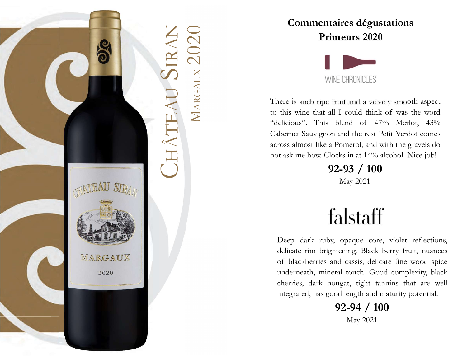



Commentaires dégustations<br>
Primeurs 2020<br>
CHRONICLES<br>
CHRONICLES<br>
CHRONICLES<br>
There is such ripe fruit and a velvety smooth aspect<br>
to this wine that all I could think of was the word<br>
"delicious". This blend of 47% Merlot **Commentaires dégustations<br>
Primeurs 2020**<br>
WINE CHRONICLES<br>
There is such ripe fruit and a velvety smooth aspect<br>
to this wine that all I could think of was the word<br>
"delicious". This blend of 47% Merlot, 43%<br>
Cabernet S **Commentaires dégustations<br>
Primeurs 2020**<br>
WINE CHRONICLES<br>
There is such ripe fruit and a velvety smooth aspect<br>
to this wine that all I could think of was the word<br>
"delicious". This blend of 47% Merlot, 43%<br>
Cabernet S **Commentaires dégustations<br>
Primeurs 2020**<br>
WINE CHRONICLES<br>
There is such ripe fruit and a velvety smooth aspect<br>
to this wine that all I could think of was the word<br>
"delicious". This blend of 47% Merlot, 43%<br>
Cabernet S **Commentaires dégustations<br>
Primeurs 2020**<br>
WINE CHRONICLES<br>
There is such ripe fruit and a velvety smooth aspect<br>
to this wine that all I could think of was the word<br>
"delicious". This blend of 47% Merlot, 43%<br>
Cabernet S **Commentaires dégustations**<br>**Primeurs 2020**<br>WINE CHRONICLES<br>There is such ripe fruit and a velvety smooth aspect<br>to this wine that all I could think of was the word<br>"delicious". This blend of 47% Merlot, 43%<br>Cabernet Sauvi **Commentaires dégustations**<br> **Primeurs 2020**<br>
WINE CHRONICLES<br>
There is such ripe fruit and a velvety smooth aspect<br>
to this wine that all I could think of was the word<br>
"delicious". This blend of 47% Merlot, 43%<br>
Cabernet Meurs 2020<br>
WE CHRONICLES<br>
ruit and a velvety smooth aspect<br>
I could think of was the word<br>
blend of 47% Merlot, 43%<br>
and the rest Petit Verdot comes<br>
Pomerol, and with the gravels do<br>
cks in at 14% alcohol. Nice job!<br>
2-9 nere is such ripe fruit and a velvety smooth aspect<br>this wine that all I could think of was the word<br>eleicious". This blend of 47% Merlot, 43%<br>obernet Sauvignon and the rest Petit Verdot comes<br>ross almost like a Pomerol, a

92-93 / 100

this wine that all I could think of was the word<br>elicious". This blend of 47% Merlot, 43%<br>obernet Sauvignon and the rest Petit Verdot comes<br>ross almost like a Pomerol, and with the gravels do<br>t ask me how. Clocks in at 14% elicious". This blend of 47% Merlot, 43%<br>obernet Sauvignon and the rest Petit Verdot comes<br>ross almost like a Pomerol, and with the gravels do<br>ot ask me how. Clocks in at 14% alcohol. Nice job!<br>**92-93 / 100**<br>- May 2021 -<br> where the Sauvignon and the rest Petit Verdot comes<br>ross almost like a Pomerol, and with the gravels do<br>to ask me how. Clocks in at 14% alcohol. Nice job!<br><br> $92-93$  / 100<br>- May 2021 -<br><br>**Cood complexity, black**<br>Deep dark rub ross almost like a Pomerol, and with the gravels do<br>t ask me how. Clocks in at 14% alcohol. Nice job!<br>**92-93 / 100**<br>- May 2021 -<br>**Complementary of the subset of that are well Deep** dark ruby, opaque core, violet reflection order to the mean of the set of the set of the set of the set of the set of the set of the set of the set of the set of blackberries and casis, delicate fine wood spice underneath, mineral touch. Good complexity, black oth May 2021 -<br>
<br>
Staff<br>
ppaque core, violet reflections,<br>
ning. Black berry fruit, nuances<br>
cassis, delicate fine wood spice<br>
touch. Good complexity, black<br>
gat, tight tannins that are well<br>
length and maturity potential.<br>
2-

92-94 / 100